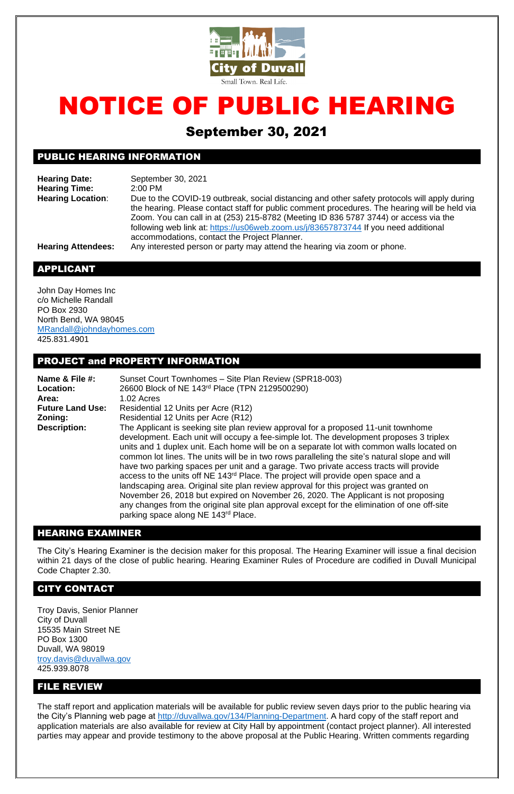

# NOTICE OF PUBLIC HEARING

# September 30, 2021

## PUBLIC HEARING INFORMATION

**Hearing Date:** September 30, 2021 **Hearing Time:** 2:00 PM **Hearing Location**: Due to the COVID-19 outbreak, social distancing and other safety protocols will apply during the hearing. Please contact staff for public comment procedures. The hearing will be held via Zoom. You can call in at (253) 215-8782 (Meeting ID 836 5787 3744) or access via the following web link at: <https://us06web.zoom.us/j/83657873744> If you need additional accommodations, contact the Project Planner.

**Hearing Attendees:** Any interested person or party may attend the hearing via zoom or phone.

## APPLICANT

John Day Homes Inc c/o Michelle Randall PO Box 2930 North Bend, WA 98045 [MRandall@johndayhomes.com](mailto:MRandall@johndayhomes.com) 425.831.4901

#### PROJECT and PROPERTY INFORMATION

| Name & File #:          | Sunset Court Townhomes - Site Plan Review (SPR18-003)                                                                                                                                                                                                                                                                                                                                                                                                                                                                                                                                                                                                                                                                                                                                                                                                                                                 |
|-------------------------|-------------------------------------------------------------------------------------------------------------------------------------------------------------------------------------------------------------------------------------------------------------------------------------------------------------------------------------------------------------------------------------------------------------------------------------------------------------------------------------------------------------------------------------------------------------------------------------------------------------------------------------------------------------------------------------------------------------------------------------------------------------------------------------------------------------------------------------------------------------------------------------------------------|
| <b>Location:</b>        | 26600 Block of NE 143rd Place (TPN 2129500290)                                                                                                                                                                                                                                                                                                                                                                                                                                                                                                                                                                                                                                                                                                                                                                                                                                                        |
| Area:                   | 1.02 Acres                                                                                                                                                                                                                                                                                                                                                                                                                                                                                                                                                                                                                                                                                                                                                                                                                                                                                            |
| <b>Future Land Use:</b> | Residential 12 Units per Acre (R12)                                                                                                                                                                                                                                                                                                                                                                                                                                                                                                                                                                                                                                                                                                                                                                                                                                                                   |
| Zoning:                 | Residential 12 Units per Acre (R12)                                                                                                                                                                                                                                                                                                                                                                                                                                                                                                                                                                                                                                                                                                                                                                                                                                                                   |
| <b>Description:</b>     | The Applicant is seeking site plan review approval for a proposed 11-unit townhome<br>development. Each unit will occupy a fee-simple lot. The development proposes 3 triplex<br>units and 1 duplex unit. Each home will be on a separate lot with common walls located on<br>common lot lines. The units will be in two rows paralleling the site's natural slope and will<br>have two parking spaces per unit and a garage. Two private access tracts will provide<br>access to the units off NE 143 <sup>rd</sup> Place. The project will provide open space and a<br>landscaping area. Original site plan review approval for this project was granted on<br>November 26, 2018 but expired on November 26, 2020. The Applicant is not proposing<br>any changes from the original site plan approval except for the elimination of one off-site<br>parking space along NE 143 <sup>rd</sup> Place. |

## HEARING EXAMINER

The City's Hearing Examiner is the decision maker for this proposal. The Hearing Examiner will issue a final decision within 21 days of the close of public hearing. Hearing Examiner Rules of Procedure are codified in Duvall Municipal Code Chapter 2.30.

#### CITY CONTACT

Troy Davis, Senior Planner City of Duvall 15535 Main Street NE PO Box 1300 Duvall, WA 98019 [troy.davis@duvallwa.gov](mailto:troy.davis@duvallwa.gov) 425.939.8078

#### FILE REVIEW

The staff report and application materials will be available for public review seven days prior to the public hearing via the City's Planning web page at [http://duvallwa.gov/134/Planning-Department.](http://duvallwa.gov/134/Planning-Department) A hard copy of the staff report and application materials are also available for review at City Hall by appointment (contact project planner). All interested parties may appear and provide testimony to the above proposal at the Public Hearing. Written comments regarding